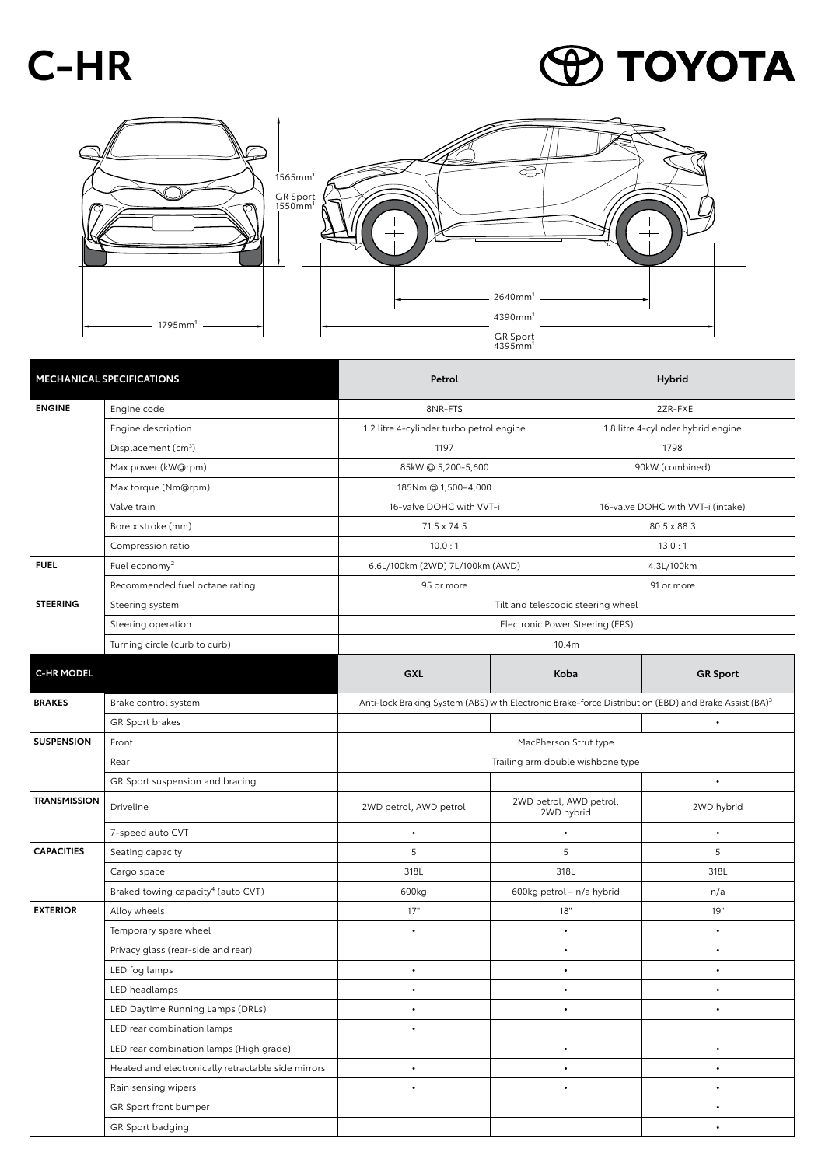## **C-HR**

## **PO TOYOTA**



| <b>MECHANICAL SPECIFICATIONS</b> |                                                    | Petrol                                                                                                           |                                       | <b>Hybrid</b>                      |                    |  |
|----------------------------------|----------------------------------------------------|------------------------------------------------------------------------------------------------------------------|---------------------------------------|------------------------------------|--------------------|--|
| <b>ENGINE</b>                    | Engine code                                        | 8NR-FTS                                                                                                          |                                       | 2ZR-FXE                            |                    |  |
|                                  | Engine description                                 | 1.2 litre 4-cylinder turbo petrol engine                                                                         |                                       | 1.8 litre 4-cylinder hybrid engine |                    |  |
|                                  | Displacement (cm <sup>3</sup> )                    | 1197                                                                                                             |                                       | 1798                               |                    |  |
|                                  | Max power (kW@rpm)                                 | 85kW @ 5,200-5,600<br>185Nm @ 1,500-4,000<br>16-valve DOHC with VVT-i                                            |                                       | 90kW (combined)                    |                    |  |
|                                  | Max torque (Nm@rpm)                                |                                                                                                                  |                                       |                                    |                    |  |
|                                  | Valve train                                        |                                                                                                                  |                                       | 16-valve DOHC with VVT-i (intake)  |                    |  |
|                                  | Bore x stroke (mm)                                 | 71.5 x 74.5                                                                                                      |                                       |                                    | $80.5 \times 88.3$ |  |
|                                  | Compression ratio                                  | 10.0:1                                                                                                           |                                       | 13.0:1                             |                    |  |
| <b>FUEL</b>                      | Fuel economy <sup>2</sup>                          | 6.6L/100km (2WD) 7L/100km (AWD)                                                                                  |                                       | 4.3L/100km                         |                    |  |
|                                  | Recommended fuel octane rating                     | 95 or more                                                                                                       |                                       | 91 or more                         |                    |  |
| <b>STEERING</b>                  | Steering system                                    | Tilt and telescopic steering wheel                                                                               |                                       |                                    |                    |  |
|                                  | Steering operation                                 | Electronic Power Steering (EPS)                                                                                  |                                       |                                    |                    |  |
|                                  | Turning circle (curb to curb)                      |                                                                                                                  | 10.4m                                 |                                    |                    |  |
| <b>C-HR MODEL</b>                |                                                    | GXL                                                                                                              |                                       | Koba                               | <b>GR Sport</b>    |  |
| <b>BRAKES</b>                    | Brake control system                               | Anti-lock Braking System (ABS) with Electronic Brake-force Distribution (EBD) and Brake Assist (BA) <sup>3</sup> |                                       |                                    |                    |  |
|                                  | GR Sport brakes                                    | $\bullet$                                                                                                        |                                       |                                    |                    |  |
| <b>SUSPENSION</b>                | Front                                              | MacPherson Strut type                                                                                            |                                       |                                    |                    |  |
|                                  | Rear                                               | Trailing arm double wishbone type                                                                                |                                       |                                    |                    |  |
|                                  | GR Sport suspension and bracing                    |                                                                                                                  |                                       |                                    | $\bullet$          |  |
| <b>TRANSMISSION</b>              | Driveline                                          | 2WD petrol, AWD petrol                                                                                           | 2WD petrol, AWD petrol,<br>2WD hybrid |                                    | 2WD hybrid         |  |
|                                  | 7-speed auto CVT                                   | $\bullet$                                                                                                        |                                       | $\bullet$                          | $\bullet$          |  |
| <b>CAPACITIES</b>                | Seating capacity                                   | 5                                                                                                                | 5                                     |                                    | 5                  |  |
|                                  | Cargo space                                        | 318L                                                                                                             |                                       | 318L                               | 318L               |  |
|                                  | Braked towing capacity <sup>4</sup> (auto CVT)     | 600kg                                                                                                            |                                       | 600kg petrol - n/a hybrid          | n/a                |  |
| <b>EXTERIOR</b>                  | Alloy wheels                                       | 17"                                                                                                              |                                       | 18"                                | 19"                |  |
|                                  | Temporary spare wheel                              | $\bullet$                                                                                                        |                                       | $\bullet$                          | $\bullet$          |  |
|                                  | Privacy glass (rear-side and rear)                 |                                                                                                                  |                                       | $\bullet$                          | $\bullet$          |  |
|                                  | LED fog lamps                                      | $\bullet$                                                                                                        |                                       | $\bullet$                          | $\bullet$          |  |
|                                  | LED headlamps                                      | $\bullet$                                                                                                        |                                       |                                    |                    |  |
|                                  | LED Daytime Running Lamps (DRLs)                   | $\bullet$                                                                                                        |                                       | $\bullet$                          | $\bullet$          |  |
|                                  | LED rear combination lamps                         | $\bullet$                                                                                                        |                                       |                                    |                    |  |
|                                  | LED rear combination lamps (High grade)            |                                                                                                                  |                                       | $\bullet$                          | $\bullet$          |  |
|                                  | Heated and electronically retractable side mirrors | $\bullet$                                                                                                        |                                       | $\bullet$                          | $\bullet$          |  |
|                                  | Rain sensing wipers                                | $\bullet$                                                                                                        |                                       | $\bullet$                          | $\bullet$          |  |
|                                  | GR Sport front bumper                              |                                                                                                                  |                                       |                                    | $\bullet$          |  |
|                                  | GR Sport badging                                   |                                                                                                                  |                                       |                                    | $\bullet$          |  |